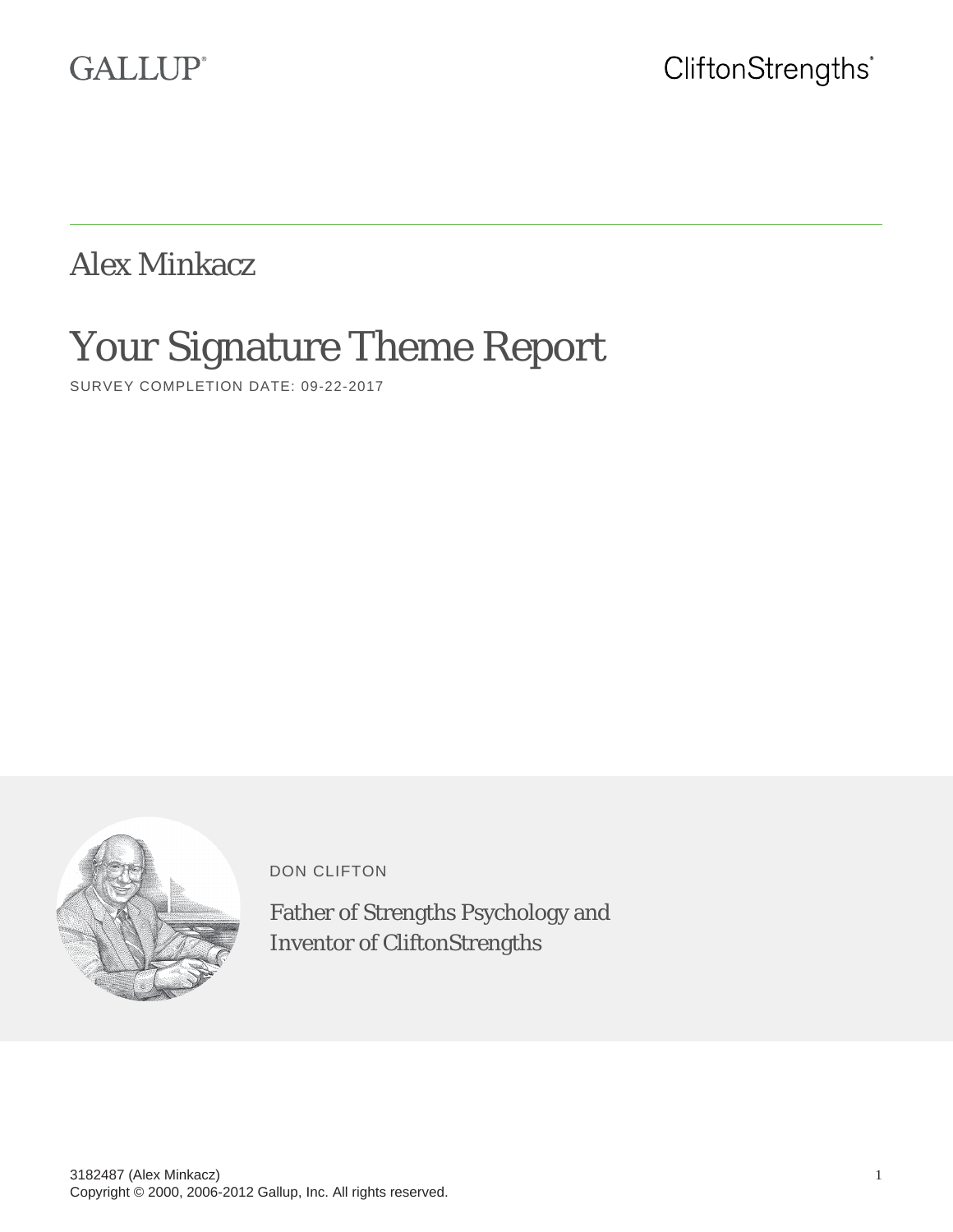# **GALLUP®**

Alex Minkacz

# Your Signature Theme Report

SURVEY COMPLETION DATE: 09-22-2017



DON CLIFTON

Father of Strengths Psychology and Inventor of CliftonStrengths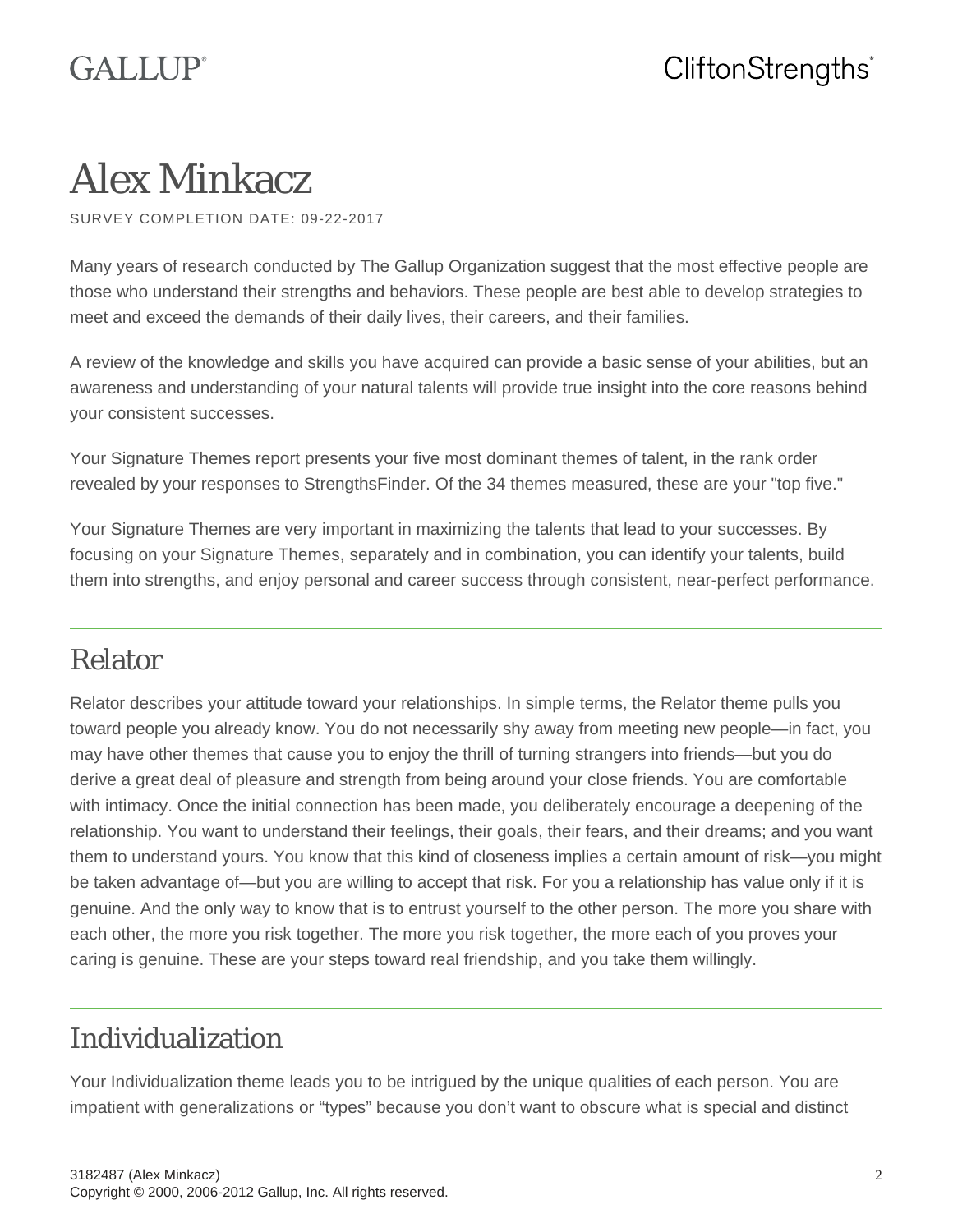# Alex Minkacz

SURVEY COMPLETION DATE: 09-22-2017

Many years of research conducted by The Gallup Organization suggest that the most effective people are those who understand their strengths and behaviors. These people are best able to develop strategies to meet and exceed the demands of their daily lives, their careers, and their families.

A review of the knowledge and skills you have acquired can provide a basic sense of your abilities, but an awareness and understanding of your natural talents will provide true insight into the core reasons behind your consistent successes.

Your Signature Themes report presents your five most dominant themes of talent, in the rank order revealed by your responses to StrengthsFinder. Of the 34 themes measured, these are your "top five."

Your Signature Themes are very important in maximizing the talents that lead to your successes. By focusing on your Signature Themes, separately and in combination, you can identify your talents, build them into strengths, and enjoy personal and career success through consistent, near-perfect performance.

### Relator

Relator describes your attitude toward your relationships. In simple terms, the Relator theme pulls you toward people you already know. You do not necessarily shy away from meeting new people—in fact, you may have other themes that cause you to enjoy the thrill of turning strangers into friends—but you do derive a great deal of pleasure and strength from being around your close friends. You are comfortable with intimacy. Once the initial connection has been made, you deliberately encourage a deepening of the relationship. You want to understand their feelings, their goals, their fears, and their dreams; and you want them to understand yours. You know that this kind of closeness implies a certain amount of risk—you might be taken advantage of—but you are willing to accept that risk. For you a relationship has value only if it is genuine. And the only way to know that is to entrust yourself to the other person. The more you share with each other, the more you risk together. The more you risk together, the more each of you proves your caring is genuine. These are your steps toward real friendship, and you take them willingly.

## Individualization

Your Individualization theme leads you to be intrigued by the unique qualities of each person. You are impatient with generalizations or "types" because you don't want to obscure what is special and distinct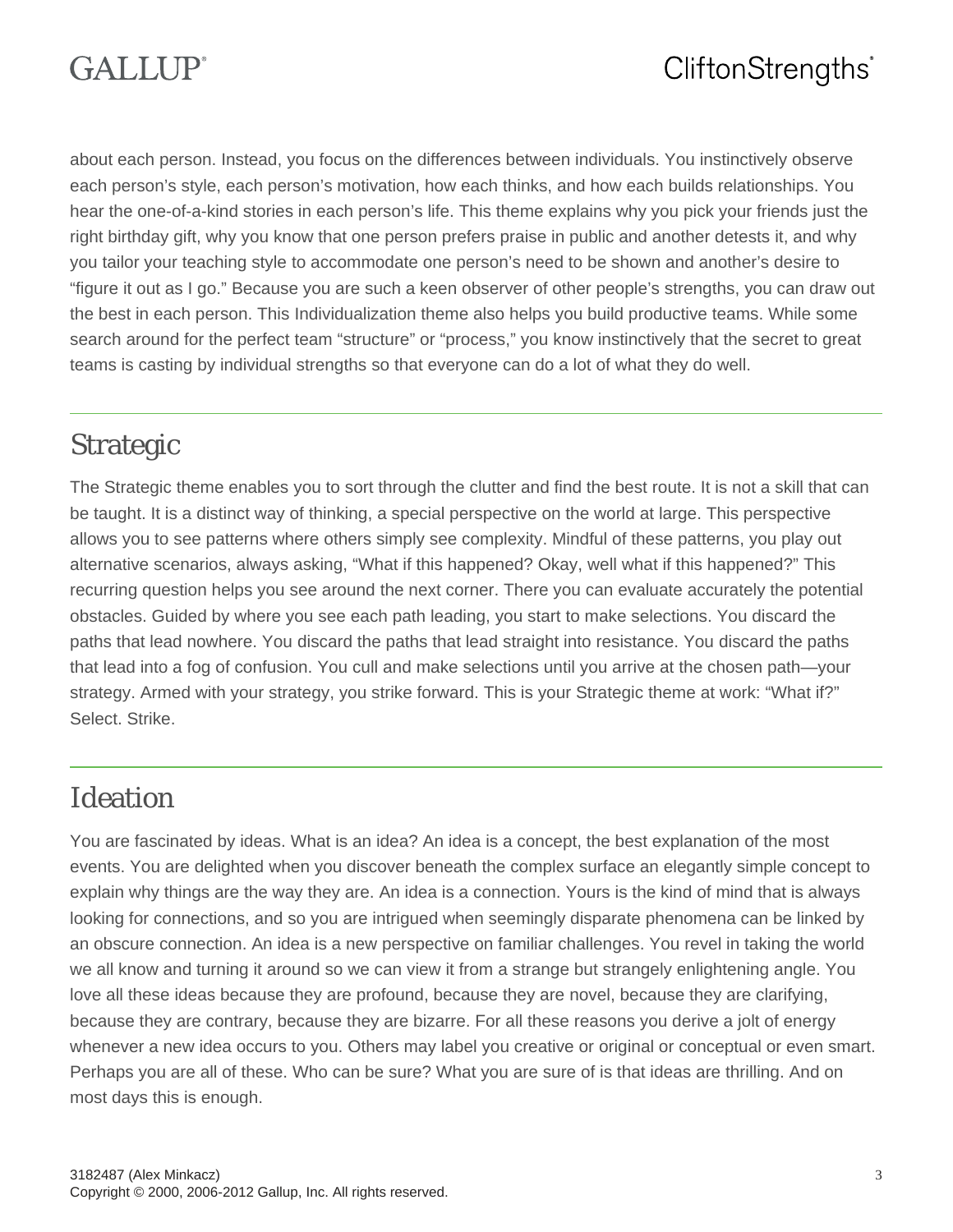# **GALLIP**<sup>®</sup>

## CliftonStrengths<sup>®</sup>

about each person. Instead, you focus on the differences between individuals. You instinctively observe each person's style, each person's motivation, how each thinks, and how each builds relationships. You hear the one-of-a-kind stories in each person's life. This theme explains why you pick your friends just the right birthday gift, why you know that one person prefers praise in public and another detests it, and why you tailor your teaching style to accommodate one person's need to be shown and another's desire to "figure it out as I go." Because you are such a keen observer of other people's strengths, you can draw out the best in each person. This Individualization theme also helps you build productive teams. While some search around for the perfect team "structure" or "process," you know instinctively that the secret to great teams is casting by individual strengths so that everyone can do a lot of what they do well.

#### Strategic

The Strategic theme enables you to sort through the clutter and find the best route. It is not a skill that can be taught. It is a distinct way of thinking, a special perspective on the world at large. This perspective allows you to see patterns where others simply see complexity. Mindful of these patterns, you play out alternative scenarios, always asking, "What if this happened? Okay, well what if this happened?" This recurring question helps you see around the next corner. There you can evaluate accurately the potential obstacles. Guided by where you see each path leading, you start to make selections. You discard the paths that lead nowhere. You discard the paths that lead straight into resistance. You discard the paths that lead into a fog of confusion. You cull and make selections until you arrive at the chosen path—your strategy. Armed with your strategy, you strike forward. This is your Strategic theme at work: "What if?" Select. Strike.

#### Ideation

You are fascinated by ideas. What is an idea? An idea is a concept, the best explanation of the most events. You are delighted when you discover beneath the complex surface an elegantly simple concept to explain why things are the way they are. An idea is a connection. Yours is the kind of mind that is always looking for connections, and so you are intrigued when seemingly disparate phenomena can be linked by an obscure connection. An idea is a new perspective on familiar challenges. You revel in taking the world we all know and turning it around so we can view it from a strange but strangely enlightening angle. You love all these ideas because they are profound, because they are novel, because they are clarifying, because they are contrary, because they are bizarre. For all these reasons you derive a jolt of energy whenever a new idea occurs to you. Others may label you creative or original or conceptual or even smart. Perhaps you are all of these. Who can be sure? What you are sure of is that ideas are thrilling. And on most days this is enough.